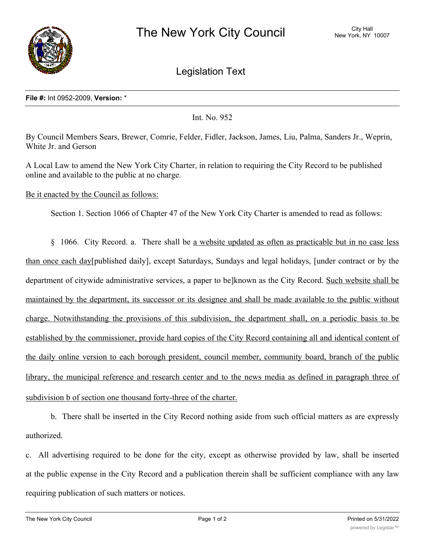

Legislation Text

## **File #:** Int 0952-2009, **Version:** \*

Int. No. 952

By Council Members Sears, Brewer, Comrie, Felder, Fidler, Jackson, James, Liu, Palma, Sanders Jr., Weprin, White Jr. and Gerson

A Local Law to amend the New York City Charter, in relation to requiring the City Record to be published online and available to the public at no charge.

Be it enacted by the Council as follows:

Section 1. Section 1066 of Chapter 47 of the New York City Charter is amended to read as follows:

§ 1066. City Record. a. There shall be a website updated as often as practicable but in no case less than once each day[published daily], except Saturdays, Sundays and legal holidays, [under contract or by the department of citywide administrative services, a paper to be]known as the City Record. Such website shall be maintained by the department, its successor or its designee and shall be made available to the public without charge. Notwithstanding the provisions of this subdivision, the department shall, on a periodic basis to be established by the commissioner, provide hard copies of the City Record containing all and identical content of the daily online version to each borough president, council member, community board, branch of the public library, the municipal reference and research center and to the news media as defined in paragraph three of subdivision b of section one thousand forty-three of the charter.

b. There shall be inserted in the City Record nothing aside from such official matters as are expressly authorized.

c. All advertising required to be done for the city, except as otherwise provided by law, shall be inserted at the public expense in the City Record and a publication therein shall be sufficient compliance with any law requiring publication of such matters or notices.